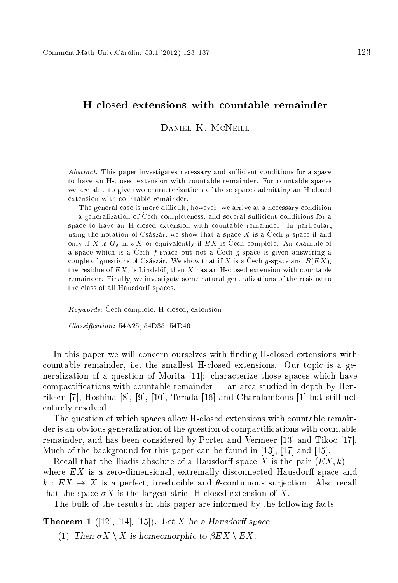# Hlosed extensions with ountable remainder

DANIEL K. MCNEILL

Abstract. This paper investigates necessary and sufficient conditions for a space to have an Hlosed extension with ountable remainder. For ountable spa
es we are able to give two characterizations of those spaces admitting an H-closed extension with countable remainder.

The general case is more difficult, however, we arrive at a necessary condition - a generalization of Čech completeness, and several sufficient conditions for a space to have an H-closed extension with countable remainder. In particular, using the notation of Császár, we show that a space X is a Čech  $g$ -space if and only if X is  $G_{\delta}$  in  $\sigma X$  or equivalently if EX is Cech complete. An example of a space which is a Čech  $f$ -space but not a Čech  $g$ -space is given answering a couple of questions of Császár. We show that if X is a Čech g-space and  $R(EX)$ , the residue of  $EX$ , is Lindelöf, then X has an H-closed extension with countable remainder. Finally, we investigate some natural generalizations of the residue to the class of all Hausdorff spaces.

*Keywords:* Čech complete, H-closed, extension

 $Classification: 54A25, 54D35, 54D40$ 

In this paper we will concern ourselves with finding H-closed extensions with ountable remainder, i.e. the smallest Hlosed extensions. Our topi is a generalization of a question of Morita  $[11]$ : characterize those spaces which have  $computations$  with countable remainder  $\rightarrow$  an area studied in depth by Henriksen  $[7]$ , Hoshina  $[8]$ ,  $[9]$ ,  $[10]$ , Terada  $[16]$  and Charalambous  $[1]$  but still not entirely resolved.

The question of which spaces allow H-closed extensions with countable remainder is an obvious generalization of the question of compactifications with countable remainder, and has been considered by Porter and Vermeer [13] and Tikoo [17]. Much of the background for this paper can be found in  $[13]$ ,  $[17]$  and  $[15]$ .

Recall that the Iliadis absolute of a Hausdorff space X is the pair  $(EX, k)$  where  $EX$  is a zero-dimensional, extremally disconnected Hausdorff space and  $k: EX \to X$  is a perfect, irreducible and  $\theta$ -continuous surjection. Also recall that the space  $\sigma X$  is the largest strict H-closed extension of X.

The bulk of the results in this paper are informed by the following facts.

**Theorem 1** ([12], [14], [15]). Let X be a Hausdorff space.

(1) Then  $\sigma X \setminus X$  is homeomorphic to  $\beta EX \setminus EX$ .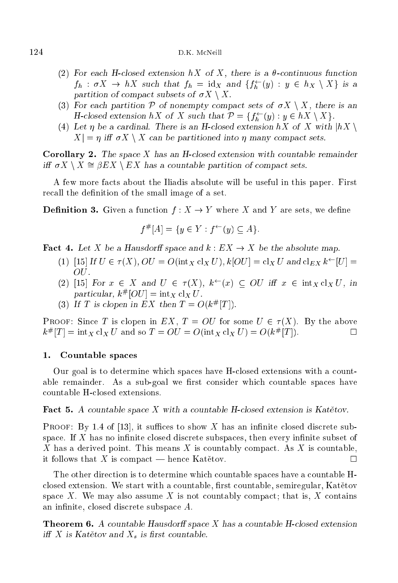- (2) For each H-closed extension  $hX$  of X, there is a  $\theta$ -continuous function  $f_h$  :  $\sigma \Lambda \rightarrow h \Lambda$  such that  $f_h$  = id $\chi$  and  $\{f_h$  (y) :  $y \in h \chi \setminus \Lambda \}$  is a partition of compact subsets of  $\sigma X \setminus X$ .
- (3) For each partition  $P$  of nonempty compact sets of  $\sigma X \setminus X$ , there is an **H**-closed extension  $nX$  of X such that  $P = \{f_h(y) : y \in nX \setminus X\}$ .
- (4) Let  $\eta$  be a cardinal. There is an H-closed extension hX of X with  $|hX|$  $X = n$  iff  $\sigma X \setminus X$  can be partitioned into *n* many compact sets.

Corollary 2. The space X has an H-closed extension with countable remainder iff  $\sigma X \setminus X \cong \beta EX \setminus EX$  has a countable partition of compact sets.

A few more fa
ts about the Iliadis absolute will be useful in this paper. First recall the definition of the small image of a set.

**Definition 3.** Given a function  $f: X \to Y$  where X and Y are sets, we define

$$
f^{\#}[A] = \{ y \in Y : f^{\leftarrow}(y) \subseteq A \}.
$$

**Fact 4.** Let X be a Hausdorff space and  $k : EX \to X$  be the absolute map.

- (1) [15] If  $U \in \tau(X)$ ,  $OU = O(\text{int}_X c!_X U)$ ,  $k[OU] = c!_X U$  and  $c!_{EX} k^{\leftarrow}[U] =$ OU.
- (2) [15] For  $x \in X$  and  $U \in \tau(X)$ ,  $k^{\leftarrow}(x) \subseteq OU$  iff  $x \in \text{int}_X cl_X U$ , in  $particular, \, \kappa^{\mu} |UU| = \max X \, \mathrm{C} \, X \, U.$
- (3) If T is clopen in EX then  $I = O(\kappa^{\mu} |I|)$ .

**PROOF:** Since T is clopen in EX,  $T = OU$  for some  $U \in \tau(X)$ . By the above  $\kappa^{\mu}$  |  $I$  | = lnt  $X$  CI $X$  U and so  $I = UU = U(\ln(X \cap X U)) = U(\kappa^{\mu} | I |)$ .

## 1. Countable spa
es

Our goal is to determine which spaces have H-closed extensions with a countable remainder. As a sub-goal we first consider which countable spaces have countable H-closed extensions.

## Fact 5. A countable space X with a countable H-closed extension is Katetov.

**PROOF:** By 1.4 of [13], it suffices to show X has an infinite closed discrete subspace. If  $X$  has no infinite closed discrete subspaces, then every infinite subset of X has a derived point. This means X is countably compact. As X is countable, it follows that X is compact — hence Katětov.  $\Box$ 

The other dire
tion is to determine whi
h ountable spa
es have a ountable H closed extension. We start with a countable, first countable, semiregular, Katetov space  $X$ . We may also assume  $X$  is not countably compact; that is,  $X$  contains an infinite, closed discrete subspace A.

**Theorem 6.** A countable Hausdorff space X has a countable H-closed extension iff X is Katětov and  $X_s$  is first countable.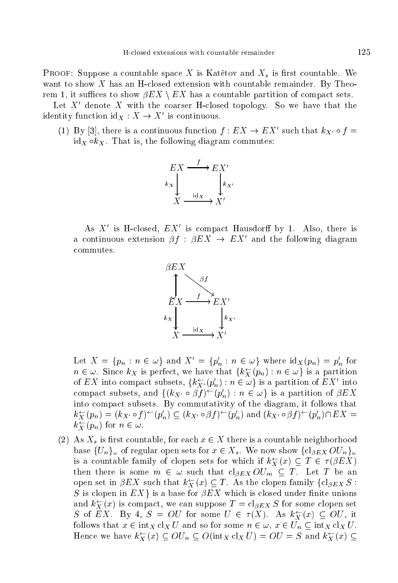**PROOF:** Suppose a countable space X is Katětov and  $X_s$  is first countable. We want to show  $X$  has an H-closed extension with countable remainder. By Theorem 1, it suffices to show  $\beta EX \setminus EX$  has a countable partition of compact sets.

Let  $X'$  denote X with the coarser H-closed topology. So we have that the identity function  $id_X: X \to X'$  is continuous.

(1) By [3], there is a continuous function  $f: EX \to EX'$  such that  $k_{X'} \circ f =$  $id_X \circ k_X$ . That is, the following diagram commutes:



As  $X'$  is H-closed,  $EX'$  is compact Hausdorff by 1. Also, there is a continuous extension  $\beta f : \beta EX \rightarrow EX'$  and the following diagram commutes.



Let  $X = \{p_n : n \in \omega\}$  and  $X' = \{p'_n : n \in \omega\}$  where  $\mathrm{id}_X(p_n) = p'_n$  for  $n \in \omega$ . Since  $k_X$  is perfect, we have that  $\{k_X^{\leftarrow}(p_n) : n \in \omega\}$  is a partition of EX into compact subsets,  $\{k_{X'}^{\leftarrow}(p'_n) : n \in \omega\}$  is a partition of EX' into compact subsets, and  $\{(k_{X'} \circ \beta f)^{\leftarrow}(p'_n) : n \in \omega\}$  is a partition of  $\beta EX$ into compact subsets. By commutativity of the diagram, it follows that  $k_X^{\leftarrow}(p_n) = (k_{X'} \circ f)^{\leftarrow}(p'_n) \subseteq (k_{X'} \circ \beta f)^{\leftarrow}(p'_n)$  and  $(k_{X'} \circ \beta f)^{\leftarrow}(p'_n) \cap EX =$  $k_{X}^{\leftarrow}(p_{n})$  for  $n \in \omega$ .

(2) As  $X_s$  is first countable, for each  $x \in X$  there is a countable neighborhood base  $\{U_n\}_{\omega}$  of regular open sets for  $x \in X_s$ . We now show  $\{cl_{\beta EX} O U_n\}_{\omega}$ is a countable family of clopen sets for which if  $k_X^{\leftarrow}(x) \subseteq T \in \tau(\beta EX)$ then there is some  $m \in \omega$  such that  $cl_{\beta EX} OU_m \subseteq T$ . Let T be an open set in  $\beta EX$  such that  $k_X^{\leftarrow}(x) \subseteq T$ . As the clopen family  $\{cl_{\beta EX} S$ : S is clopen in  $EX$ } is a base for  $\beta EX$  which is closed under finite unions and  $k_X^{\leftarrow}(x)$  is compact, we can suppose  $T = cl_{\beta EX} S$  for some clopen set S of EX. By 4,  $S = OU$  for some  $U \in \tau(X)$ . As  $k_X^{\leftarrow}(x) \subseteq OU$ , it follows that  $x \in \text{int}_X \text{cl}_X U$  and so for some  $n \in \omega$ ,  $x \in U_n \subseteq \text{int}_X \text{cl}_X U$ . Hence we have  $k_X^{\leftarrow}(x) \subseteq OU_n \subseteq O(\text{int}_X \text{cl}_X U) = OU = S$  and  $k_X^{\leftarrow}(x) \subseteq$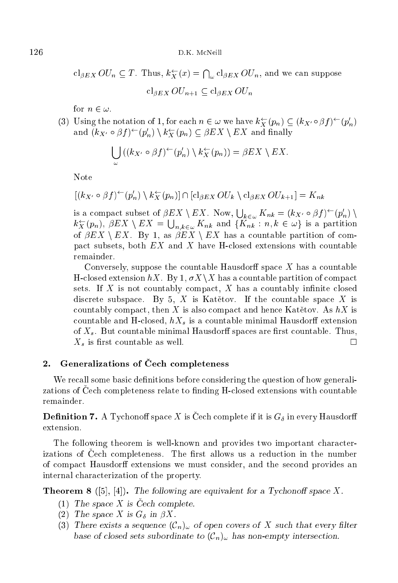D.K. McNeill

 $cl_{\beta EX} OU_n \subseteq T$ . Thus,  $k_X^{\leftarrow}(x) = \bigcap_{\omega} cl_{\beta EX} OU_n$ , and we can suppose  $cl_{BEX} OU_{n+1} \subset cl_{BEX} OU_n$ 

for  $n \in \omega$ .

(3) Using the notation of 1, for each  $n \in \omega$  we have  $k_X^{\leftarrow}(p_n) \subseteq (k_{X'} \circ \beta f)^{\leftarrow}(p'_n)$ and  $(k_{X'} \circ \beta f)^{\leftarrow}(p'_n) \setminus k_X^{\leftarrow}(p_n) \subseteq \beta EX \setminus EX$  and finally

$$
\bigcup_{\omega} ((k_{X'} \circ \beta f)^{\leftarrow} (p'_n) \setminus k_X^{\leftarrow} (p_n)) = \beta E X \setminus E X
$$

Note

$$
[(k_{X'} \circ \beta f)^{\leftarrow} (p'_n) \setminus k_X^{\leftarrow} (p_n)] \cap [c]_{\beta EX} \cdot O U_k \setminus c]_{\beta EX} \cdot O U_{k+1} = K_{nk}
$$

is a compact subset of  $\beta EX \setminus EX$ . Now,  $\bigcup_{k \in \omega} K_{nk} = (k_{X'} \circ \beta f)^{\leftarrow}(p'_n) \setminus$  $k_X^{\leftarrow}(p_n)$ ,  $\beta EX \setminus EX = \bigcup_{n,k \in \omega} K_{nk}$  and  $\{K_{nk} : n, k \in \omega\}$  is a partition of  $\beta EX \setminus EX$ . By 1, as  $\beta EX \setminus EX$  has a countable partition of compact subsets, both  $EX$  and X have H-closed extensions with countable remainder.

Conversely, suppose the countable Hausdorff space  $X$  has a countable H-closed extension  $hX$ . By 1,  $\sigma X \setminus X$  has a countable partition of compact sets. If  $X$  is not countably compact,  $X$  has a countably infinite closed discrete subspace. By 5, X is Katětov. If the countable space X is countably compact, then X is also compact and hence Katetov. As  $hX$  is countable and H-closed,  $hX_s$  is a countable minimal Hausdorff extension of  $X_s$ . But countable minimal Hausdorff spaces are first countable. Thus,  $X_s$  is first countable as well.  $\Box$ 

## Generalizations of Čech completeness  $2.$

We recall some basic definitions before considering the question of how generalzations of Cech completeness relate to finding H-closed extensions with countable remainder.

**Definition 7.** A Tychonoff space X is Čech complete if it is  $G_{\delta}$  in every Hausdorff extension.

The following theorem is well-known and provides two important characterizations of Cech completeness. The first allows us a reduction in the number of compact Hausdorff extensions we must consider, and the second provides an internal characterization of the property.

**Theorem 8** ([5], [4]). The following are equivalent for a Tychonoff space X.

- (1) The space X is Čech complete.
- (2) The space X is  $G_{\delta}$  in  $\beta X$ .
- (3) There exists a sequence  $(\mathcal{C}_n)_{\omega}$  of open covers of X such that every filter base of closed sets subordinate to  $(\mathcal{C}_n)_{\omega}$  has non-empty intersection.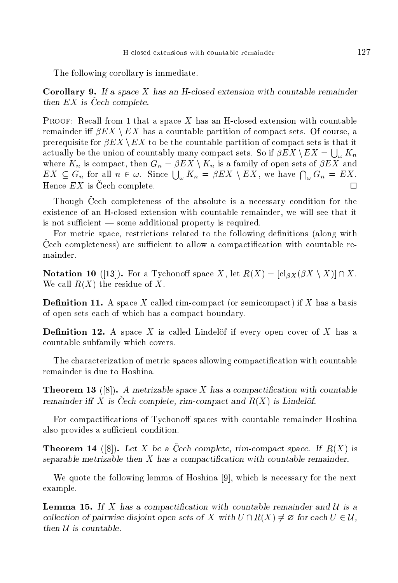The following orollary is immediate.

**Corollary 9.** If a space X has an H-closed extension with countable remainder then  $EX$  is  $\check{C}ech$  complete.

**PROOF:** Recall from 1 that a space X has an H-closed extension with countable remainder iff  $\beta EX \setminus EX$  has a countable partition of compact sets. Of course, a prerequisite for  $\beta EX \setminus EX$  to be the countable partition of compact sets is that it actually be the union of countably many compact sets. So if  $\beta EX \setminus EX = \bigcup_{\omega} K_n$ where  $K_n$  is compact, then  $G_n = \beta EX \setminus K_n$  is a family of open sets of  $\beta EX$  and  $EX \subseteq G_n$  for all  $n \in \omega$ . Since  $\bigcup_{\omega} K_n = \beta EX \setminus EX$ , we have  $\bigcap_{\omega} G_n = EX$ . Hence  $EX$  is  $\text{Čech}$  complete.

Though Čech completeness of the absolute is a necessary condition for the existen
e of an Hlosed extension with ountable remainder, we will see that it is not sufficient  $\equiv$  some additional property is required.

For metric space, restrictions related to the following definitions (along with Cech completeness) are sufficient to allow a compactification with countable remainder

**Notation 10** ([13]). For a Tychonoff space X, let  $R(X) = [c|_{\partial X}(\partial X \setminus X)] \cap X$ . We call  $R(X)$  the residue of X.

**Definition 11.** A space X called rim-compact (or semicompact) if X has a basis of open sets ea
h of whi
h has a ompa
t boundary.

**Definition 12.** A space X is called Lindelöf if every open cover of X has a ountable subfamily whi
h overs.

The characterization of metric spaces allowing compactification with countable remainder is due to Hoshina.

**Theorem 13** ([8]). A metrizable space X has a compactification with countable remainder iff X is Cech complete, rim-compact and  $R(X)$  is Lindelöf.

For compactifications of Tychonoff spaces with countable remainder Hoshina also provides a sufficient condition.

**Theorem 14** ([8]). Let X be a Cech complete, rim-compact space. If  $R(X)$  is separable metrizable then  $X$  has a compactification with countable remainder.

We quote the following lemma of Hoshina  $[9]$ , which is necessary for the next example.

**Lemma 15.** If X has a compactification with countable remainder and  $\mathcal{U}$  is a collection of pairwise disjoint open sets of X with  $U \cap R(X) \neq \emptyset$  for each  $U \in \mathcal{U}$ , then  $U$  is countable.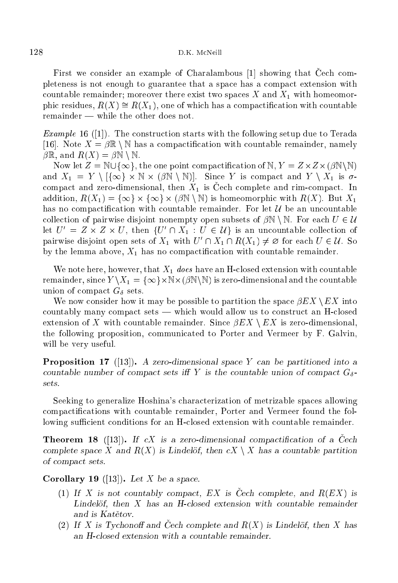First we consider an example of Charalambous  $[1]$  showing that Cech completeness is not enough to guarantee that a spa
e has a ompa
t extension with countable remainder; moreover there exist two spaces X and  $X_1$  with homeomorphic residues,  $R(X) \cong R(X_1)$ , one of which has a compactification with countable  $remainder$  — while the other does not.

Example 16 ([1℄). The onstru
tion starts with the following setup due to Terada [16]. Note  $X = \beta \mathbb{R} \setminus \mathbb{N}$  has a compactification with countable remainder, namely  $\beta \mathbb{R}$ , and  $R(X) = \beta \mathbb{N} \setminus \mathbb{N}$ .

Now let Z <sup>=</sup> <sup>N</sup> [f1g, the one point ompa
ti
ation of <sup>N</sup> , <sup>Y</sup> <sup>=</sup> Z-Z-(<sup>N</sup> <sup>n</sup><sup>N</sup> ) and your the state of the Market Market and the second model of the state of the state of the state of the sta compact and zero-dimensional, then  $X_1$  is Čech complete and rim-compact. In addition, R( $\alpha$  - f1g - f1g - f1g - f1g - f1g - f1g - f1g - f1g - f1g - f1g - f1g - f1g - f1g - f1g - f1g - f1g - f1g - f1g - f1g - f1g - f1g - f1g - f1g - f1g - f1g - f1g - f1g - f1g - f1g - f1g - f1g - f1g - f1g - f1g has no compactification with countable remainder. For let  $\mathcal U$  be an uncountable collection of pairwise disjoint nonempty open subsets of  $\beta N \setminus N$ . For each  $U \in \mathcal{U}$ let  $U = Z \times Z \times U$ , then  $\{U \mid |A_1 : U \in U\}$  is an uncountable collection of pairwise disjoint open sets of  $\Lambda_1$  with  $U \cap \Lambda_1 \cap \Lambda(\Lambda_1) \neq \emptyset$  for each  $U \in U$ . So by the lemma above,  $X_1$  has no compactification with countable remainder.

We note here, however, that  $X_1$  does have an H-closed extension with countable remainder the N-1 - fight (N n ) is the fight (N  $\mu$  ) is the fight (N  $\mu$  and the fight (N  $\mu$  and the fight (N  $\mu$ union of compact  $G_{\delta}$  sets.

We now consider how it may be possible to partition the space  $\beta EX \setminus EX$  into countably many compact sets — which would allow us to construct an H-closed extension of X with countable remainder. Since  $\beta EX \setminus EX$  is zero-dimensional, the following proposition, ommuni
ated to Porter and Vermeer by F. Galvin, will be very useful.

**Proposition 17** ([13]). A zero-dimensional space Y can be partitioned into a countable number of compact sets iff Y is the countable union of compact  $G_{\delta}$ sets.

Seeking to generalize Hoshina's hara
terization of metrizable spa
es allowing compactifications with countable remainder, Porter and Vermeer found the following sufficient conditions for an H-closed extension with countable remainder.

**Theorem 18** ([13]). If cX is a zero-dimensional compactification of a Cech complete space X and  $R(X)$  is Lindelöf, then  $cX \setminus X$  has a countable partition of ompa
t sets.

Corollary 19 ([13]). Let X be a space.

- (1) If X is not countably compact, EX is Čech complete, and  $R(EX)$  is Lindelöf, then  $X$  has an H-closed extension with countable remainder
- (2) If X is Tychonoff and Čech complete and  $R(X)$  is Lindelöf, then X has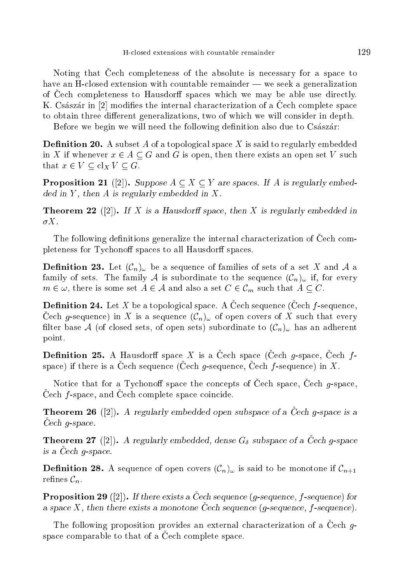Noting that Cech completeness of the absolute is necessary for a space to have an H-closed extension with countable remainder — we seek a generalization of Cech completeness to Hausdorff spaces which we may be able use directly. K. Császár in [2] modifies the internal characterization of a Cech complete space to obtain three different generalizations, two of which we will consider in depth.

Before we begin we will need the following definition also due to Császár:

**Definition 20.** A subset A of a topological space X is said to regularly embedded in X if whenever  $x \in A \subseteq G$  and G is open, then there exists an open set V such that  $x \in V \subset \operatorname{cl}_X V \subset G$ .

**Proposition 21** ([2]). Suppose  $A \subseteq X \subseteq Y$  are spaces. If A is regularly embed- $\text{ded in } Y$ , then A is regularly embedded in X.

**Theorem 22** ([2]). If X is a Hausdorff space, then X is regularly embedded in  $\sigma X$ .

The following definitions generalize the internal characterization of Cech completeness for Tychonoff spaces to all Hausdorff spaces.

**Definition 23.** Let  $(C_n)_{\omega}$  be a sequence of families of sets of a set X and A a family of sets. The family A is subordinate to the sequence  $(\mathcal{C}_n)_{\omega}$  if, for every  $m \in \omega$ , there is some set  $A \in \mathcal{A}$  and also a set  $C \in \mathcal{C}_m$  such that  $A \subseteq C$ .

**Definition 24.** Let X be a topological space. A Cech sequence (Cech f-sequence, Cech g-sequence) in X is a sequence  $(\mathcal{C}_n)_{\omega}$  of open covers of X such that every filter base A (of closed sets, of open sets) subordinate to  $(\mathcal{C}_n)_{\omega}$  has an adherent point.

**Definition 25.** A Hausdorff space X is a Čech space (Čech g-space, Čech fspace) if there is a Cech sequence (Cech g-sequence, Cech f-sequence) in X.

Notice that for a Tychonoff space the concepts of Čech space, Čech g-space, Cech f-space, and Cech complete space coincide.

**Theorem 26** ([2]). A regularly embedded open subspace of a Cech g-space is a  $Cech$  g-space.

**Theorem 27** ([2]). A regularly embedded, dense  $G_{\delta}$  subspace of a Cech g-space is a Cech g-space.

**Definition 28.** A sequence of open covers  $(\mathcal{C}_n)_{\omega}$  is said to be monotone if  $\mathcal{C}_{n+1}$ refines  $\mathcal{C}_n$ .

**Proposition 29** ([2]). If there exists a Čech sequence (g-sequence, f-sequence) for a space X, then there exists a monotone Cech sequence  $(g$ -sequence,  $f$ -sequence).

The following proposition provides an external characterization of a Cech  $g$ space comparable to that of a Cech complete space.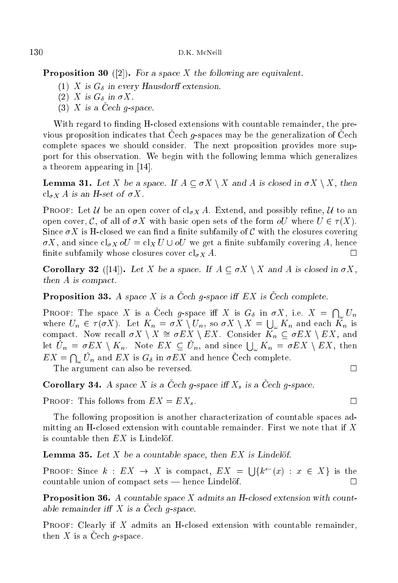**Proposition 30** ([2]). For a space X the following are equivalent.

- (1) X is  $G_{\delta}$  in every Hausdorff extension.
- (2) X is  $G_{\delta}$  in  $\sigma X$ .
- $(3)$  X is a Cech q-space.

With regard to finding H-closed extensions with countable remainder, the previous proposition indicates that Cech  $g$ -spaces may be the generalization of Cech omplete spa
es we should onsider. The next proposition provides more support for this observation. We begin with the following lemma whi
h generalizes a theorem appearing in  $[14]$ .

**Lemma 31.** Let X be a space. If  $A \subseteq \sigma X \setminus X$  and A is closed in  $\sigma X \setminus X$ , then  $\operatorname{cl}_{\sigma X} A$  is an H-set of  $\sigma X$ .

**PROOF:** Let U be an open cover of  $cl_{\sigma X} A$ . Extend, and possibly refine, U to an open cover, C, of all of  $\sigma X$  with basic open sets of the form  $oU$  where  $U \in \tau(X)$ . Since  $\sigma X$  is H-closed we can find a finite subfamily of C with the closures covering  $\sigma X$ , and since  $\mathrm{cl}_{\sigma X}$   $\sigma U = \mathrm{cl}_X U \cup \sigma U$  we get a finite subfamily covering A, hence finite subfamily whose closures cover  $\operatorname{cl}_{\sigma X} A$ . П

**Corollary 32** ([14]). Let X be a space. If  $A \subset \sigma X \setminus X$  and A is closed in  $\sigma X$ , then A is compact.

**Proposition 33.** A space X is a Cech g-space iff  $EX$  is Cech complete.

**PROOF:** The space X is a Cech g-space iff X is  $G_{\delta}$  in  $\sigma X$ , i.e.  $X = \bigcap_{\omega} U_n$ where  $U_n \in \tau(\sigma X)$ . Let  $K_n = \sigma X \setminus U_n$ , so  $\sigma X \setminus X = \bigcup_{\omega} K_n$  and each  $K_n$  is compact. Now recall  $\sigma X \setminus X \cong \sigma EX \setminus EX$ . Consider  $K_n \subseteq \sigma EX \setminus EX$ , and let  $U_n = \sigma EX \setminus K_n$ . Note  $EX \subseteq U_n$ , and since  $\bigcup_{\omega} K_n = \sigma EX \setminus EX$ , then  $EX = \bigcap_{\omega} U_n$  and  $EX$  is  $G_{\delta}$  in  $\sigma EX$  and hence Cech complete.  $\Box$ 

The argument can also be reversed.

**Corollary 34.** A space X is a Cech g-space iff  $X_s$  is a Cech g-space.

PROOF: This follows from  $EX = EX_s$ .

The following proposition is another hara
terization of ountable spa
es admitting an Hlosed extension with ountable remainder. First we note that if X is countable then  $EX$  is Lindelöf.

**Lemma 35.** Let  $X$  be a countable space, then  $EX$  is Lindelöf.

**PROOF:** Since  $k : EX \rightarrow X$  is compact,  $EX = \bigcup \{k^{\leftarrow}(x) : x \in X\}$  is the  $countable union of compact sets — hence Lindelöf.$ П

**Proposition 36.** A countable space X admits an H-closed extension with countable remainder iff  $X$  is a Cech g-space.

PROOF: Clearly if X admits an H-closed extension with countable remainder, then  $X$  is a Cech g-space.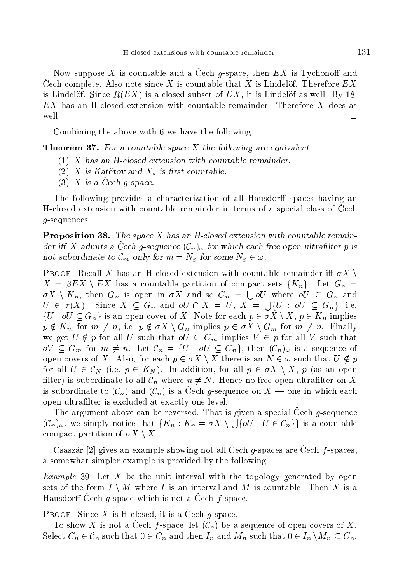Now suppose X is countable and a Cech g-space, then  $EX$  is Tychonoff and Cech complete. Also note since X is countable that X is Lindelöf. Therefore  $EX$ is Lindelöf. Since  $R(EX)$  is a closed subset of  $EX$ , it is Lindelöf as well. By 18, EX has an Hlosed extension with ountable remainder. Therefore X does as  $\Box$ 

Combining the above with 6 we have the following.

**Theorem 37.** For a countable space  $X$  the following are equivalent.

- (1) X has an Hlosed extension with ountable remainder.
- (2) X is Katetov and  $X_s$  is first countable.
- $(3)$  X is a Cech g-space.

The following provides a characterization of all Hausdorff spaces having an H-closed extension with countable remainder in terms of a special class of Cech g-sequen
es.

**Proposition 38.** The space X has an H-closed extension with countable remainder iff X admits a Cech g-sequence  $(\mathcal{C}_n)_{\omega}$  for which each free open ultrafilter p is not subordinate to  $\mathcal{C}_m$  only for  $m = N_p$  for some  $N_p \in \omega$ .

**PROOF:** Recall X has an H-closed extension with countable remainder iff  $\sigma X$  $X = \beta EX \setminus EX$  has a countable partition of compact sets  $\{K_n\}$ . Let  $G_n =$  $\sigma X \setminus K_n$ , then  $G_n$  is open in  $\sigma X$  and so  $G_n = \bigcup oU$  where  $oU \subseteq G_n$  and  $U \in \tau(X)$ . Since  $X \subseteq G_n$  and  $oU \cap X = U$ ,  $X = \bigcup \{U : oU \subseteq G_n\}$ , i.e.  $\{U : oU \subseteq G_n\}$  is an open cover of X. Note for each  $p \in \sigma X \setminus X, p \in K_n$  implies  $p \notin K_m$  for  $m \neq n$ , i.e.  $p \notin \sigma X \setminus G_n$  implies  $p \in \sigma X \setminus G_m$  for  $m \neq n$ . Finally we get  $U \notin p$  for all U such that  $oU \subseteq G_m$  implies  $V \in p$  for all V such that  $oV \subseteq G_m$  for  $m \neq n$ . Let  $\mathcal{C}_n = \{U : oU \subseteq G_n\}$ , then  $(\mathcal{C}_n)_{\omega}$  is a sequence of open covers of X. Also, for each  $p \in \sigma X \setminus X$  there is an  $N \in \omega$  such that  $U \notin p$ for all  $U \in \mathcal{C}_N$  (i.e.  $p \in K_N$ ). In addition, for all  $p \in \sigma X \setminus X$ , p (as an open filter) is subordinate to all  $\mathcal{C}_n$  where  $n \neq N$ . Hence no free open ultrafilter on X is subordinate to  $(\mathcal{C}_n)$  and  $(\mathcal{C}_n)$  is a Čech g-sequence on  $X$  — one in which each open ultralter is ex
luded at exa
tly one level.

The argument above can be reversed. That is given a special Cech g-sequence  $(C_n)_{\omega}$ , we simply notice that  $\{K_n : K_n = \sigma X \setminus \cup \{\sigma U : U \in C_n\}\}\$ is a countable compact partition of  $\sigma X \setminus X$ .

Császár [2] gives an example showing not all Cech  $g$ -spaces are Cech  $f$ -spaces, a somewhat simpler example is provided by the following.

*Example* 39. Let X be the unit interval with the topology generated by open sets of the form  $I \setminus M$  where I is an interval and M is countable. Then X is a Hausdorff Cech  $g$ -space which is not a Cech  $f$ -space.

**PROOF:** Since X is H-closed, it is a Cech g-space.

To show X is not a Cech f-space, let  $(\mathcal{C}_n)$  be a sequence of open covers of X. Select  $C_n \in \mathcal{C}_n$  such that  $0 \in C_n$  and then  $I_n$  and  $M_n$  such that  $0 \in I_n \setminus M_n \subseteq C_n$ .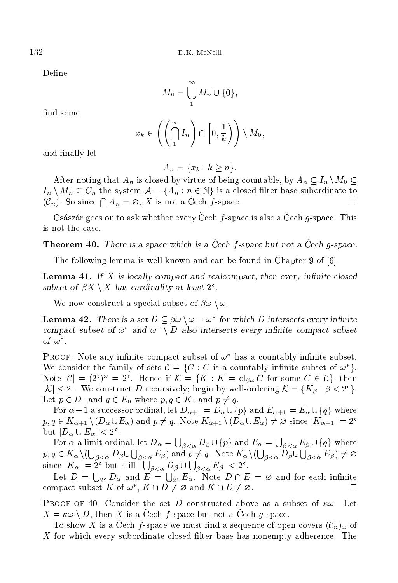Define

$$
M_0 = \bigcup_{1}^{\infty} M_n \cup \{0\},\
$$

find some

$$
x_k \in \left( \left( \bigcap_{1}^{\infty} I_n \right) \cap \left[0, \frac{1}{k}\right) \right) \setminus M_0,
$$

and finally let

$$
A_n = \{x_k : k \ge n\}.
$$

After noting that  $A_n$  is closed by virtue of being countable, by  $A_n \subseteq I_n \setminus M_0 \subseteq$  $I_n \setminus M_n \subseteq C_n$  the system  $\mathcal{A} = \{A_n : n \in \mathbb{N}\}\$ is a closed filter base subordinate to  $(\mathcal{C}_n)$ . So since  $\bigcap A_n = \emptyset$ , X is not a Cech f-space.

Császár goes on to ask whether every Cech  $f$ -space is also a Cech  $g$ -space. This is not the ase.

**Theorem 40.** There is a space which is a Cech  $f$ -space but not a Cech  $g$ -space.

The following lemma is well known and can be found in Chapter 9 of [6].

**Lemma 41.** If  $X$  is locally compact and realcompact, then every infinite closed subset of  $p\Lambda \setminus \Lambda$  has cardinality at least  $z$ .

We now construct a special subset of  $\beta\omega \setminus \omega$ .

**Lemma 42.** There is a set  $D \subseteq \beta \omega \setminus \omega = \omega$  for which D intersects every immute compact subset of  $\omega$  and  $\omega \to \nu$  also intersects every infinite compact subset  $\sigma$   $\omega$  .

PROOF: Note any infinite compact subset of  $\omega$  -has a countably infinite subset. We consider the family of sets  $C = \{C : C$  is a countably infinite subset of  $\omega \}$ . Note  $|C| = (2^{\circ})^{\circ} = 2^{\circ}$ . Hence if  $\mathcal{N} = \{N : N = \text{cl}_{\beta\omega} \cup$  for some  $C \in \mathcal{C}\}$ , then  $|\mathcal{N}| \leq 2$ . We construct D recursively; begin by well-ordering  $\mathcal{N} = \{ \mathbf{A}\beta : \beta \leq 2^{\gamma} \}$ . Let  $p \in D_0$  and  $q \in E_0$  where  $p, q \in K_0$  and  $p \neq q$ .

For  $\alpha + 1$  a successor ordinal, let  $D_{\alpha+1} = D_{\alpha} \cup \{p\}$  and  $E_{\alpha+1} = E_{\alpha} \cup \{q\}$  where  $p, q \in K_{\alpha+1} \setminus (D_\alpha \cup E_\alpha)$  and  $p \neq q$ . Note  $K_{\alpha+1} \setminus (D_\alpha \cup E_\alpha) \neq \emptyset$  since  $|K_{\alpha+1}| = 2^{\mathfrak{c}}$ but  $|D_{\alpha} \cup E_{\alpha}| \leq 2$ .

For  $\alpha$  a limit ordinal, let  $D_\alpha = \bigcup_{\beta < \alpha} D_\beta \cup \{p\}$  and  $E_\alpha = \bigcup_{\beta < \alpha} E_\beta \cup \{q\}$  where  $p, q \in K_\alpha \setminus (\bigcup_{\beta < \alpha} D_\beta \cup \bigcup_{\beta < \alpha} E_\beta)$  and  $p \neq q$ . Note  $K_\alpha \setminus (\bigcup_{\beta < \alpha} D_\beta \cup \bigcup_{\beta < \alpha} E_\beta) \neq \varnothing$ since  $|K_{\alpha}| = 2^{\mathfrak{c}}$  but still  $|\bigcup_{\beta < \alpha} D_{\beta} \cup \bigcup_{\beta < \alpha} E_{\beta}| < 2^{\mathfrak{c}}$ .

Let  $D = \bigcup_{2^c} D_{\alpha}$  and  $E = \bigcup_{2^c} E_{\alpha}$ . Note  $D \cap E = \emptyset$  and for each infinite compact subset  $K$  of  $\omega$ ,  $K \cap D \neq \varnothing$  and  $K \cap E \neq \varnothing$ .

**PROOF OF 40:** Consider the set D constructed above as a subset of  $\kappa\omega$ . Let  $X = \kappa \omega \setminus D$ , then X is a Cech f-space but not a Cech g-space.

To show X is a Cech f-space we must find a sequence of open covers  $(\mathcal{C}_n)_{\omega}$  of X for which every subordinate closed filter base has nonempty adherence. The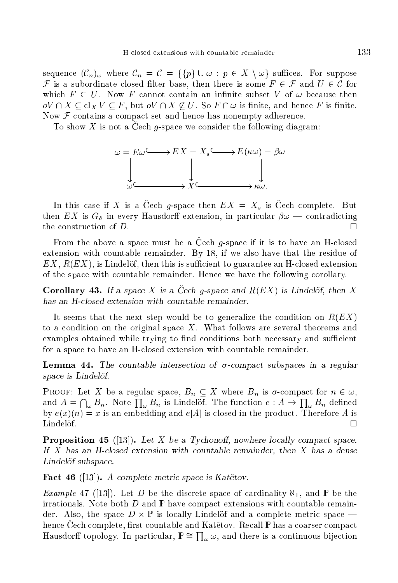sequence  $(\mathcal{C}_n)_{\omega}$  where  $\mathcal{C}_n = \mathcal{C} = \{ \{p\} \cup \omega : p \in X \setminus \omega \}$  suffices. For suppose F is a subordinate closed filter base, then there is some  $F \in \mathcal{F}$  and  $U \in \mathcal{C}$  for which  $F \subseteq U$ . Now F cannot contain an infinite subset V of  $\omega$  because then  $oV \cap X \subseteq cl_X V \subseteq F$ , but  $oV \cap X \nsubseteq U$ . So  $F \cap \omega$  is finite, and hence F is finite. Now  $\mathcal F$  contains a compact set and hence has nonempty adherence.

To show X is not a Cech g-space we consider the following diagram:



In this case if X is a Čech g-space then  $EX = X_s$  is Čech complete. But then EX is  $G_{\delta}$  in every Hausdorff extension, in particular  $\beta \omega$  – contradicting the construction of  $D$ . П

From the above a space must be a Cech  $g$ -space if it is to have an H-closed extension with countable remainder. By 18, if we also have that the residue of  $EX, R(EX)$ , is Lindelöf, then this is sufficient to guarantee an H-closed extension of the space with countable remainder. Hence we have the following corollary.

**Corollary 43.** If a space X is a Cech g-space and  $R(EX)$  is Lindelöf, then X has an H-closed extension with countable remainder.

It seems that the next step would be to generalize the condition on  $R(EX)$ to a condition on the original space  $X$ . What follows are several theorems and examples obtained while trying to find conditions both necessary and sufficient for a space to have an H-closed extension with countable remainder.

**Lemma 44.** The countable intersection of  $\sigma$ -compact subspaces in a regular space is Lindelöf.

**PROOF:** Let X be a regular space,  $B_n \subseteq X$  where  $B_n$  is  $\sigma$ -compact for  $n \in \omega$ , and  $A = \bigcap_{\omega} B_n$ . Note  $\prod_{\omega} B_n$  is Lindelöf. The function  $e : A \to \prod_{\omega} B_n$  defined by  $e(x)(n) = x$  is an embedding and  $e[A]$  is closed in the product. Therefore A is Lindelöf.  $\Box$ 

**Proposition 45** ([13]). Let X be a Tychonoff, nowhere locally compact space. If X has an H-closed extension with countable remainder, then X has a dense Lindelöf subspace.

**Fact 46** ([13]). A complete metric space is Katetov.

*Example* 47 ([13]). Let D be the discrete space of cardinality  $\aleph_1$ , and  $\mathbb P$  be the irrationals. Note both  $D$  and  $\mathbb P$  have compact extensions with countable remainder. Also, the space  $D \times \mathbb{P}$  is locally Lindelöf and a complete metric space hence Cech complete, first countable and Katetov. Recall P has a coarser compact Hausdorff topology. In particular,  $\mathbb{P} \cong \prod_{\omega} \omega$ , and there is a continuous bijection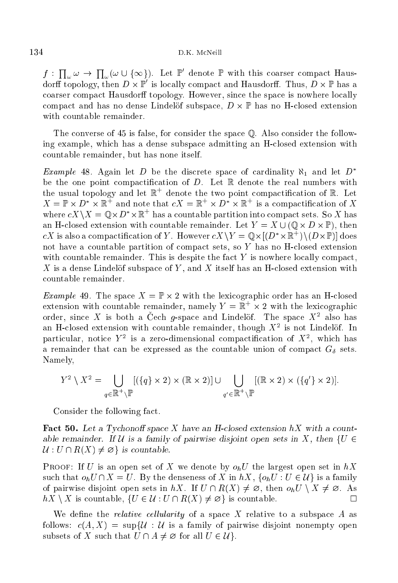$f: \prod_{\omega} \omega \to \prod_{\omega} (\omega \cup \{\infty\}).$  Let  $\mathbb{P}'$  denote  $\mathbb{P}$  with this coarser compact Hausdorff topology, then  $D \times \mathbb{P}$  is locally compact and Hausdorff. Thus,  $D \times \mathbb{P}$  has a coarser compact Hausdorff topology. However, since the space is nowhere locally t and has no dense lines and the subspace of the part of subspace of the subspace of the subspace of the subspace of with ountable remainder.

The converse of 45 is false, for consider the space Q. Also consider the following example, whi
h has a dense subspa
e admitting an Hlosed extension with ountable remainder, but has none itself.

*Example* 48. Again let D be the discrete space of cardinality  $\aleph_1$  and let  $D^*$ be the one point compactification of  $D$ . Let  $\mathbb R$  denote the real numbers with the usual topology and let  $\mathbb K^+$  denote the two point compactincation of  $\mathbb K^+$  Let  $X = \mathbb{P} \times D \times \mathbb{R}$  and note that  $cX = \mathbb{R} \times D \times \mathbb{R}$  is a compactification of  $X$ where  $cX \setminus X = \mathbb{Q} \times D^* \times \mathbb{R}$  has a countable partition into compact sets. So X has and the contract with the contract of the contract of the contract  $\mathcal{L}^{(1)}$  and  $\mathcal{L}^{(2)}$  and  $\mathcal{L}^{(3)}$ CA is also a compact incation of Y . However  $cX \ Y = \mathbb Q X$   $(D^* \times \mathbb R^-) \setminus (D \times \mathbb P)$  does not have a ountable partition of ompa
t sets, so Y has no Hlosed extension with countable remainder. This is despite the fact  $Y$  is nowhere locally compact,  $X$  is a dense Lindelöf subspace of  $Y$ , and  $X$  itself has an H-closed extension with ountable remainder.

example as the space of the space with the space  $\Delta$  space of the space  $\Delta$ extension with countable remainder, namely  $Y = \mathbb{K} \times Z$  with the lexicographic order, since  $\Lambda$  is both a Cech g-space and Lindelof. The space  $\Lambda^-$  also has an  $n$ -ciosed extension with countable remainder, though  $X^+$  is not Lindelof. In particular, notice  $Y = 18$  a zero-dimensional compactmication of  $X^-,$  which has a remainder that can be expressed as the countable union of compact  $G_{\delta}$  sets. Namely,

$$
Y^2 \setminus X^2 = \bigcup_{q \in \mathbb{R}^+ \setminus \mathbb{P}} [(\{q\} \times 2) \times (\mathbb{R} \times 2)] \cup \bigcup_{q' \in \mathbb{R}^+ \setminus \mathbb{P}} [(\mathbb{R} \times 2) \times (\{q'\} \times 2)].
$$

Consider the following fa
t.

Fact 50. Let a Tychonoff space X have an H-closed extension  $hX$  with a countable remainder. If U is a family of pairwise disjoint open sets in X, then  $\{U \in$  $\mathcal{U}: U \cap R(X) \neq \emptyset$  is countable.

**PROOF:** If U is an open set of X we denote by  $o_h U$  the largest open set in  $hX$ such that  $o_h U \cap X = U$ . By the denseness of X in hX,  $\{o_h U : U \in \mathcal{U}\}\$ is a family of pairwise disjoint open sets in hX. If  $U \cap R(X) \neq \emptyset$ , then  $o_h U \setminus X \neq \emptyset$ . As  $hX \setminus X$  is countable,  $\{U \in \mathcal{U} : U \cap R(X) \neq \emptyset\}$  is countable.  $\Box$ 

We define the *relative cellularity* of a space X relative to a subspace A as follows:  $c(A, X) = \sup\{U : U$  is a family of pairwise disjoint nonempty open subsets of X such that  $U \cap A \neq \emptyset$  for all  $U \in \mathcal{U}$ .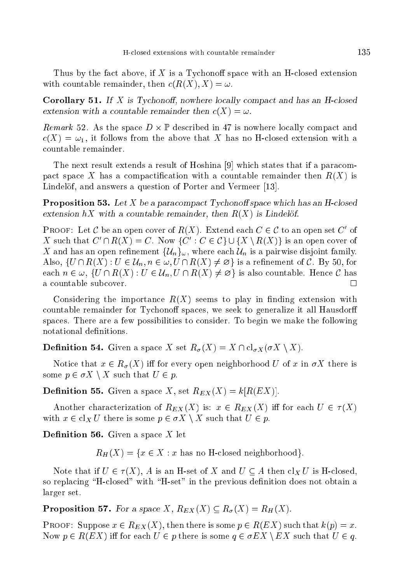Thus by the fact above, if  $X$  is a Tychonoff space with an H-closed extension with countable remainder, then  $c(R(X), X) = \omega$ .

**Corollary 51.** If X is Tychonoff, nowhere locally compact and has an H-closed extension with a countable remainder then  $c(X) = \omega$ .

Remark 52. As the spa
e D - <sup>P</sup> des
ribed in 47 is nowhere lo
ally ompa
t and  $c(X) = \omega_1$ , it follows from the above that X has no H-closed extension with a countable remainder.

The next result extends a result of Hoshina [9] which states that if a paracompact space X has a compactification with a countable remainder then  $R(X)$  is Lindelöf, and answers a question of Porter and Vermeer [13].

**Proposition 53.** Let X be a paracompact Tychonoff space which has an H-closed extension hX with a countable remainder, then  $R(X)$  is Lindelöf.

PROOF: Let C be an open cover of  $R(X)$ . Extend each  $C \in C$  to an open set C of A such that  $C \cap R(\Lambda) = C$ . Now  $\{C \colon C \in C\} \cup \{\Lambda \setminus R(\Lambda)\}\$  is an open cover of X and has an open refinement  $\{U_n\}_{\omega}$ , where each  $U_n$  is a pairwise disjoint family. Also,  $\{U \cap R(X) : U \in \mathcal{U}_n, n \in \omega, U \cap R(X) \neq \emptyset\}$  is a refinement of C. By 50, for each  $n \in \omega$ ,  $\{U \cap R(X) : U \in \mathcal{U}_n, U \cap R(X) \neq \emptyset\}$  is also countable. Hence C has a ountable sub
over.  $\Box$ 

Considering the importance  $R(X)$  seems to play in finding extension with countable remainder for Tychonoff spaces, we seek to generalize it all Hausdorff spaces. There are a few possibilities to consider. To begin we make the following notational definitions.

**Definition 54.** Given a space X set  $R_{\sigma}(X) = X \cap \text{cl}_{\sigma X}(\sigma X \setminus X)$ .

Notice that  $x \in R_{\sigma}(X)$  iff for every open neighborhood U of x in  $\sigma X$  there is some  $p \in \sigma X \setminus X$  such that  $U \in p$ .

**Definition 55.** Given a space X, set  $R_{EX}(X) = k[R(EX)]$ .

Another characterization of  $R_{EX}(X)$  is:  $x \in R_{EX}(X)$  iff for each  $U \in \tau(X)$ with  $x \in \text{cl}_X U$  there is some  $p \in \sigma X \setminus X$  such that  $U \in p$ .

**Definition 56.** Given a space  $X$  let

 $R_H(X) = \{x \in X : x \text{ has no H-closed neighborhood}\}.$ 

Note that if  $U \in \tau(X)$ , A is an H-set of X and  $U \subseteq A$  then  $\text{cl}_X U$  is H-closed, so replacing "H-closed" with "H-set" in the previous definition does not obtain a larger set.

**Proposition 57.** For a space X,  $R_{EX}(X) \subseteq R_{\sigma}(X) = R_H(X)$ .

**PROOF:** Suppose  $x \in R_{EX}(X)$ , then there is some  $p \in R(EX)$  such that  $k(p) = x$ . Now  $p \in R(EX)$  iff for each  $U \in p$  there is some  $q \in \sigma EX \setminus EX$  such that  $U \in q$ .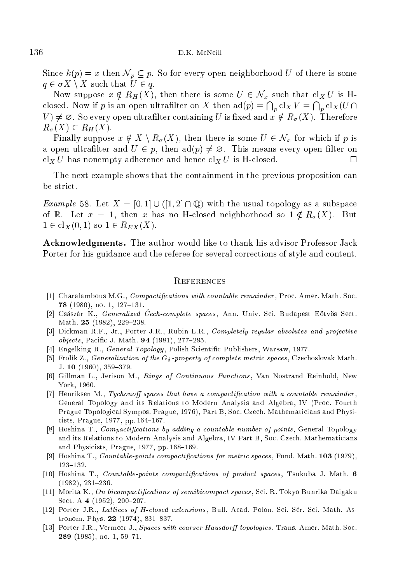Since  $k(p) = x$  then  $\mathcal{N}_p \subseteq p$ . So for every open neighborhood U of there is some  $q \in \sigma X \setminus X$  such that  $U \in q$ .

Now suppose  $x \notin R_H(X)$ , then there is some  $U \in \mathcal{N}_x$  such that  $cl_X U$  is Hclosed. Now if p is an open ultrafilter on X then  $ad(p) = \bigcap_n cl_X V = \bigcap_n cl_X(U \cap$  $V \neq \emptyset$ . So every open ultrafilter containing U is fixed and  $x \notin R_{\sigma}(X)$ . Therefore  $R_{\sigma}(X) \subset R_H(X)$ .

Finally suppose  $x \notin X \setminus R_\sigma(X)$ , then there is some  $U \in \mathcal{N}_x$  for which if p is a open ultrafilter and  $U \in p$ , then  $\text{ad}(p) \neq \emptyset$ . This means every open filter on  $\operatorname{cl}_X U$  has nonempty adherence and hence  $\operatorname{cl}_X U$  is H-closed.  $\Box$ 

The next example shows that the containment in the previous proposition can

*Example* 58. Let  $X = [0,1] \cup ([1,2] \cap \mathbb{Q})$  with the usual topology as a subspace of R. Let  $x = 1$ , then x has no H-closed neighborhood so  $1 \notin R_{\sigma}(X)$ . But  $1 \in cl_X(0,1)$  so  $1 \in R_{EX}(X)$ .

Acknowledgments. The author would like to thank his advisor Professor Jack Porter for his guidance and the referee for several corrections of style and content.

## **REFERENCES**

- [1] Charalambous M.G., *Compactifications with countable remainder*, Proc. Amer. Math. Soc. 78 (1980), no. 1, 127-131.
- [2] Császár K., *Generalized Cech-complete spaces*, Ann. Univ. Sci. Budapest Eötvös Sect. Math. 25 (1982), 229-238.
- [3] Dickman R.F., Jr., Porter J.R., Rubin L.R., Completely regular absolutes and projective objects, Pacific J. Math. 94 (1981), 277-295.
- [4] Engelking R., General Topology, Polish Scientific Publishers, Warsaw, 1977.
- [5] Frolík Z., Generalization of the  $G_{\delta}$ -property of complete metric spaces, Czechoslovak Math. J. 10  $(1960)$ , 359-379.
- [6] Gillman L., Jerison M., Rings of Continuous Functions, Van Nostrand Reinhold, New York, 1960.
- [7] Henriksen M., Tychonoff spaces that have a compactification with a countable remainder, General Topology and its Relations to Modern Analysis and Algebra, IV (Pro
. Fourth Prague Topological Sympos. Prague, 1976), Part B, Soc. Czech. Mathematicians and Physicists, Prague, 1977, pp. 164-167.
- [8] Hoshina T., *Compactifications by adding a countable number of points*, General Topology and its Relations to Modern Analysis and Algebra, IV Part B, Soc. Czech. Mathematicians and Physicists, Prague, 1977, pp. 168-169.
- [9] Hoshina T., *Countable-points compactifications for metric spaces*, Fund. Math.  $103$  (1979), 123{132.
- [10] Hoshina T., Countable-points compactifications of product spaces, Tsukuba J. Math. 6  $(1982), 231-236.$
- [11] Morita K., On bicompactifications of semibicompact spaces, Sci. R. Tokyo Bunrika Daigaku Sect. A 4 (1952), 200-207.
- [12] Porter J.R., Lattices of H-closed extensions, Bull. Acad. Polon. Sci. Sér. Sci. Math. Astronom. Phys.  $22$  (1974), 831-837.
- [13] Porter J.R., Vermeer J., Spaces with coarser Hausdorff topologies, Trans. Amer. Math. Soc. 289 (1985), no. 1, 59-71.